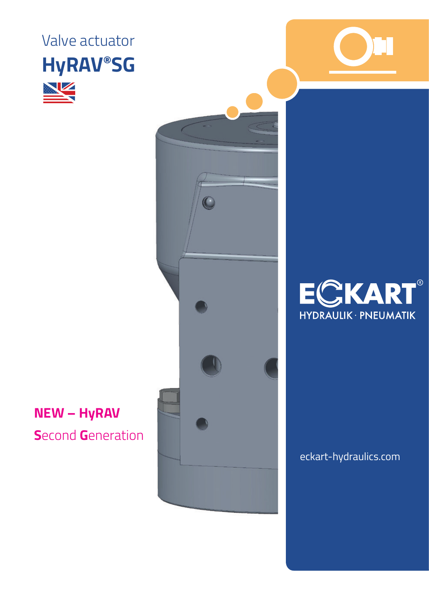Valve actuator **HyRAV®SG** 



## **NEW - HyRAV Second Generation**





eckart-hydraulics.com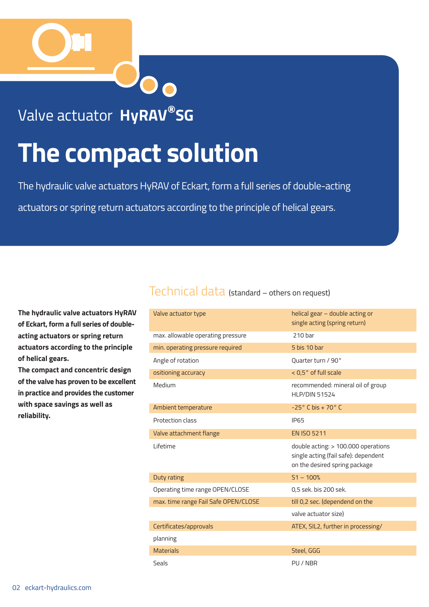

### Valve actuator **HyRAV®SG**

# **The compact solution**

The hydraulic valve actuators HyRAV of Eckart, form a full series of double-acting actuators or spring return actuators according to the principle of helical gears.

**The hydraulic valve actuators HyRAV of Eckart, form a full series of doubleacting actuators or spring return actuators according to the principle of helical gears.**

**The compact and concentric design of the valve has proven to be excellent in practice and provides the customer with space savings as well as reliability.**

#### Technical data (standard – others on request)

| Valve actuator type                  | helical gear - double acting or<br>single acting (spring return)                                             |
|--------------------------------------|--------------------------------------------------------------------------------------------------------------|
| max. allowable operating pressure    | 210 har                                                                                                      |
| min. operating pressure required     | 5 bis 10 bar                                                                                                 |
| Angle of rotation                    | Quarter turn / 90°                                                                                           |
| ositioning accuracy                  | < 0,5° of full scale                                                                                         |
| Medium                               | recommended: mineral oil of group<br><b>HLP/DIN 51524</b>                                                    |
| Ambient temperature                  | $-25^\circ$ C bis + 70 $^\circ$ C                                                                            |
| Protection class                     | <b>IP65</b>                                                                                                  |
| Valve attachment flange              | <b>EN ISO 5211</b>                                                                                           |
| Lifetime                             | double acting: > 100.000 operations<br>single acting (fail safe): dependent<br>on the desired spring package |
| Duty rating                          | $S1 - 100%$                                                                                                  |
| Operating time range OPEN/CLOSE      | 0,5 sek. bis 200 sek.                                                                                        |
| max. time range Fail Safe OPEN/CLOSE | till 0,2 sec. (dependend on the                                                                              |
|                                      | valve actuator size)                                                                                         |
| Certificates/approvals               | ATEX, SIL2, further in processing/                                                                           |
| planning                             |                                                                                                              |
| <b>Materials</b>                     | Steel, GGG                                                                                                   |
| Seals                                | PU / NBR                                                                                                     |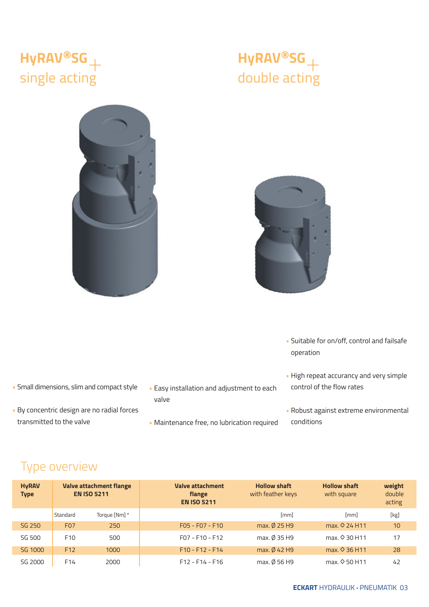#### **HyRAV®SG**+ single acting







- Suitable for on/off, control and failsafe operation
- High repeat accurancy and very simple control of the flow rates
- Robust against extreme environmental conditions
- Small dimensions, slim and compact style
- By concentric design are no radial forces transmitted to the valve
- Easy installation and adjustment to each valve
- Maintenance free, no lubrication required

#### Type overview

| <b>HyRAV</b><br><b>Type</b> | <b>Valve attachment flange</b><br><b>EN ISO 5211</b> |               | Valve attachment<br>flange<br><b>EN ISO 5211</b> | <b>Hollow shaft</b><br>with feather keys | <b>Hollow shaft</b><br>with square | weight<br>double<br>acting |
|-----------------------------|------------------------------------------------------|---------------|--------------------------------------------------|------------------------------------------|------------------------------------|----------------------------|
|                             | Standard                                             | Torque [Nm] * |                                                  | [mm]                                     | [mm]                               | [kg]                       |
| SG 250                      | F <sub>0</sub> 7                                     | 250           | $F05 - F07 - F10$                                | max. Ø 25 H9                             | max. $\Diamond$ 24 H11             | 10                         |
| SG 500                      | F <sub>10</sub>                                      | 500           | $F07 - F10 - F12$                                | max. Ø 35 H9                             | max. $\Diamond$ 30 H11             | 17                         |
| SG 1000                     | F <sub>12</sub>                                      | 1000          | $F10 - F12 - F14$                                | max. Ø 42 H9                             | max. 0 36 H11                      | 28                         |
| SG 2000                     | F <sub>14</sub>                                      | 2000          | $F12 - F14 - F16$                                | max. Ø 56 H9                             | max. $\Diamond$ 50 H11             | 42                         |